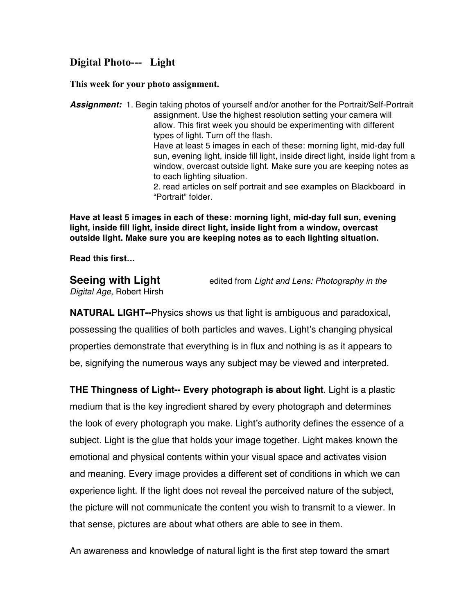## **Digital Photo--- Light**

**This week for your photo assignment.** 

*Assignment:* 1. Begin taking photos of yourself and/or another for the Portrait/Self-Portrait assignment. Use the highest resolution setting your camera will allow. This first week you should be experimenting with different types of light. Turn off the flash. Have at least 5 images in each of these: morning light, mid-day full sun, evening light, inside fill light, inside direct light, inside light from a window, overcast outside light. Make sure you are keeping notes as to each lighting situation. 2. read articles on self portrait and see examples on Blackboard in "Portrait" folder.

**Have at least 5 images in each of these: morning light, mid-day full sun, evening light, inside fill light, inside direct light, inside light from a window, overcast outside light. Make sure you are keeping notes as to each lighting situation.**

**Read this first…**

## *Digital Age*, Robert Hirsh

**Seeing with Light** edited from *Light and Lens: Photography in the* 

**NATURAL LIGHT--**Physics shows us that light is ambiguous and paradoxical, possessing the qualities of both particles and waves. Light's changing physical properties demonstrate that everything is in flux and nothing is as it appears to be, signifying the numerous ways any subject may be viewed and interpreted.

**THE Thingness of Light-- Every photograph is about light**. Light is a plastic medium that is the key ingredient shared by every photograph and determines the look of every photograph you make. Light's authority defines the essence of a subject. Light is the glue that holds your image together. Light makes known the emotional and physical contents within your visual space and activates vision and meaning. Every image provides a different set of conditions in which we can experience light. If the light does not reveal the perceived nature of the subject, the picture will not communicate the content you wish to transmit to a viewer. In that sense, pictures are about what others are able to see in them.

An awareness and knowledge of natural light is the first step toward the smart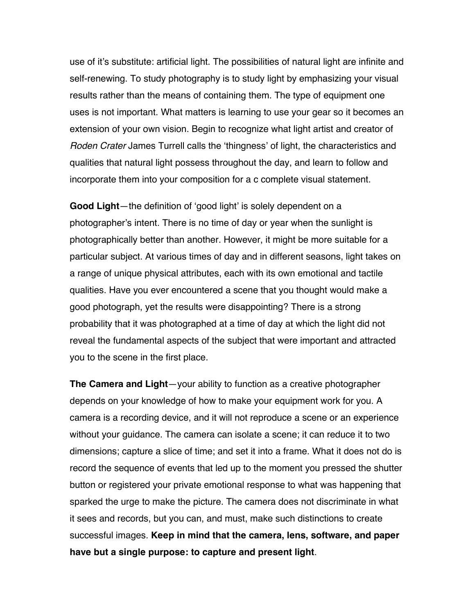use of it's substitute: artificial light. The possibilities of natural light are infinite and self-renewing. To study photography is to study light by emphasizing your visual results rather than the means of containing them. The type of equipment one uses is not important. What matters is learning to use your gear so it becomes an extension of your own vision. Begin to recognize what light artist and creator of *Roden Crater* James Turrell calls the 'thingness' of light, the characteristics and qualities that natural light possess throughout the day, and learn to follow and incorporate them into your composition for a c complete visual statement.

**Good Light**—the definition of 'good light' is solely dependent on a photographer's intent. There is no time of day or year when the sunlight is photographically better than another. However, it might be more suitable for a particular subject. At various times of day and in different seasons, light takes on a range of unique physical attributes, each with its own emotional and tactile qualities. Have you ever encountered a scene that you thought would make a good photograph, yet the results were disappointing? There is a strong probability that it was photographed at a time of day at which the light did not reveal the fundamental aspects of the subject that were important and attracted you to the scene in the first place.

**The Camera and Light**—your ability to function as a creative photographer depends on your knowledge of how to make your equipment work for you. A camera is a recording device, and it will not reproduce a scene or an experience without your guidance. The camera can isolate a scene; it can reduce it to two dimensions; capture a slice of time; and set it into a frame. What it does not do is record the sequence of events that led up to the moment you pressed the shutter button or registered your private emotional response to what was happening that sparked the urge to make the picture. The camera does not discriminate in what it sees and records, but you can, and must, make such distinctions to create successful images. **Keep in mind that the camera, lens, software, and paper have but a single purpose: to capture and present light**.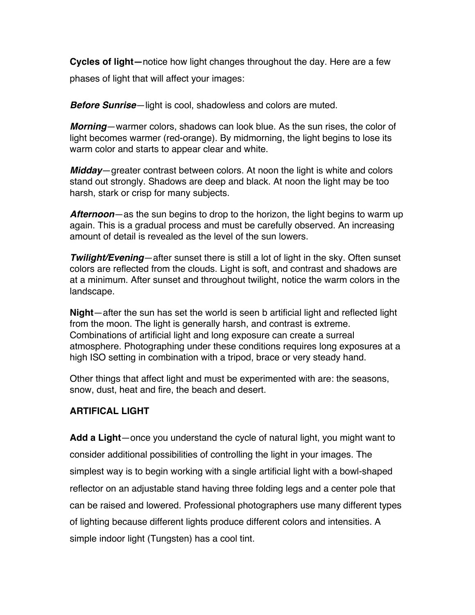**Cycles of light—**notice how light changes throughout the day. Here are a few phases of light that will affect your images:

*Before Sunrise*—light is cool, shadowless and colors are muted.

*Morning*—warmer colors, shadows can look blue. As the sun rises, the color of light becomes warmer (red-orange). By midmorning, the light begins to lose its warm color and starts to appear clear and white.

*Midday*—greater contrast between colors. At noon the light is white and colors stand out strongly. Shadows are deep and black. At noon the light may be too harsh, stark or crisp for many subjects.

*Afternoon*—as the sun begins to drop to the horizon, the light begins to warm up again. This is a gradual process and must be carefully observed. An increasing amount of detail is revealed as the level of the sun lowers.

*Twilight/Evening*—after sunset there is still a lot of light in the sky. Often sunset colors are reflected from the clouds. Light is soft, and contrast and shadows are at a minimum. After sunset and throughout twilight, notice the warm colors in the landscape.

**Night**—after the sun has set the world is seen b artificial light and reflected light from the moon. The light is generally harsh, and contrast is extreme. Combinations of artificial light and long exposure can create a surreal atmosphere. Photographing under these conditions requires long exposures at a high ISO setting in combination with a tripod, brace or very steady hand.

Other things that affect light and must be experimented with are: the seasons, snow, dust, heat and fire, the beach and desert.

## **ARTIFICAL LIGHT**

**Add a Light**—once you understand the cycle of natural light, you might want to consider additional possibilities of controlling the light in your images. The simplest way is to begin working with a single artificial light with a bowl-shaped reflector on an adjustable stand having three folding legs and a center pole that can be raised and lowered. Professional photographers use many different types of lighting because different lights produce different colors and intensities. A simple indoor light (Tungsten) has a cool tint.